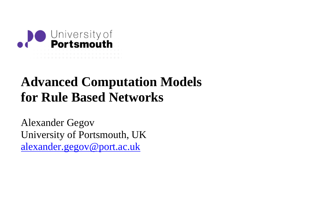

# **Advanced Computation Models for Rule Based Networks**

Alexander Gegov University of Portsmouth, UKalexander.gegov@port.ac.uk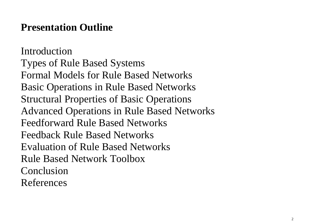### **Presentation Outline**

Introduction Types of Rule Based Systems Formal Models for Rule Based Networks Basic Operations in Rule Based Networks Structural Properties of Basic Operations Advanced Operations in Rule Based Networks Feedforward Rule Based Networks Feedback Rule Based Networks Evaluation of Rule Based Networks Rule Based Network Toolbox Conclusion References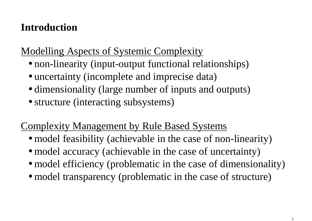## **Introduction**

## Modelling Aspects of Systemic Complexity

- non-linearity (input-output functional relationships)
- uncertainty (incomplete and imprecise data)
- dimensionality (large number of inputs and outputs)
- structure (interacting subsystems)

## Complexity Management by Rule Based Systems

- model feasibility (achievable in the case of non-linearity)
- model accuracy (achievable in the case of uncertainty)
- model efficiency (problematic in the case of dimensionality)
- model transparency (problematic in the case of structure)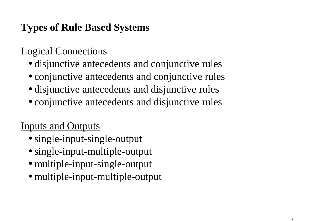## Logical Connections

- disjunctive antecedents and conjunctive rules
- conjunctive antecedents and conjunctive rules
- disjunctive antecedents and disjunctive rules
- conjunctive antecedents and disjunctive rules

## Inputs and Outputs

- single-input-single-output
- single-input-multiple-output
- multiple-input-single-output
- multiple-input-multiple-output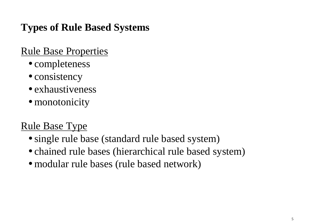## Rule Base Properties

- completeness
- consistency
- exhaustiveness
- monotonicity

## Rule Base Type

- single rule base (standard rule based system)
- chained rule bases (hierarchical rule based system)
- modular rule bases (rule based network)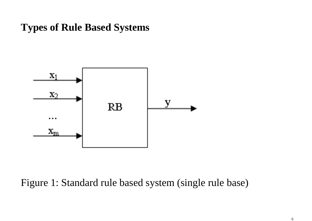

#### Figure 1: Standard rule based system (single rule base)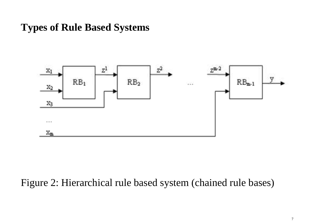

#### Figure 2: Hierarchical rule based system (chained rule bases)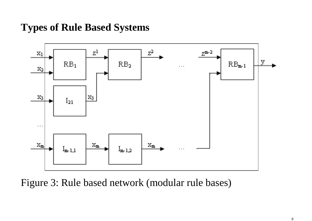

Figure 3: Rule based network (modular rule bases)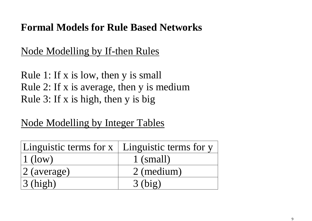### Node Modelling by If-then Rules

Rule 1: If x is low, then y is small Rule 2: If x is average, then y is mediumRule 3: If x is high, then y is big

Node Modelling by Integer Tables

| Linguistic terms for $x \mid$ Linguistic terms for y |             |
|------------------------------------------------------|-------------|
| $\vert 1$ (low)                                      | $1$ (small) |
| $ 2 \text{ (average)}$                               | 2 (medium)  |
| $\beta$ (high)                                       | $3$ (big)   |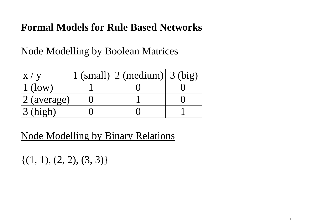## Node Modelling by Boolean Matrices

|                         | $1$ (small) $ 2$ (medium) $ 3$ (big) |  |
|-------------------------|--------------------------------------|--|
| $\vert 1 \rangle$ (low) |                                      |  |
| $ 2 \text{ (average)}$  |                                      |  |
| $\sqrt{3}$ (high)       |                                      |  |

Node Modelling by Binary Relations

 $\{(1, 1), (2, 2), (3, 3)\}\$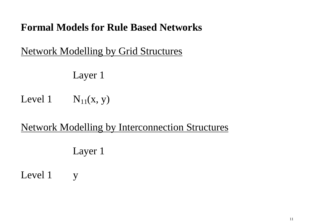### Network Modelling by Grid Structures

Layer 1

Level 1  $N_{11}(x, y)$ 

Network Modelling by Interconnection Structures

Layer 1

Level 1 y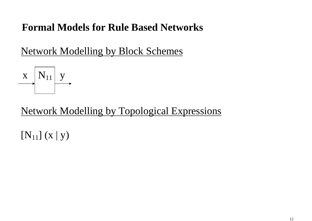Network Modelling by Block Schemes



Network Modelling by Topological Expressions

 $[N_{11}]$   $(X | y)$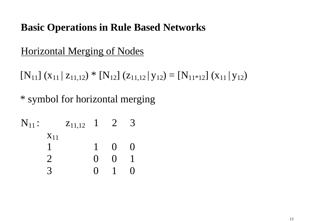## Horizontal Merging of Nodes

 $[N_{11}] (x_{11} | z_{11,12}) * [N_{12}] (z_{11,12} | y_{12}) = [N_{11*12}] (x_{11} | y_{12})$ 

\* symbol for horizontal merging

| $\mathrm{N}_{11}$ : |          | $Z_{11,12}$ | $\mathbf{I}$      | $\overline{2}$ | $\rightarrow$     |
|---------------------|----------|-------------|-------------------|----------------|-------------------|
|                     | $X_{11}$ |             |                   |                |                   |
|                     |          |             | $\mathbf 1$       | $\mathbf{O}$   | $\mathbf{\Omega}$ |
|                     |          |             | $\mathbf{\Omega}$ | $\blacksquare$ |                   |
|                     |          |             | $\mathbf{\Omega}$ |                |                   |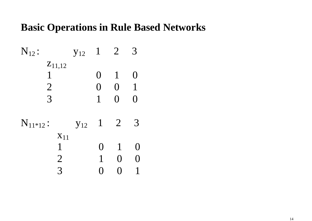| $N_{12}$ :     | $y_{12}$ | $\mathbf{1}$    | $\overline{2}$  | 3   |
|----------------|----------|-----------------|-----------------|-----|
| $Z_{11,12}$    |          |                 |                 |     |
| 1              |          | $\mathbf{()}$   | $\mathbf{1}$    | ( ) |
| $\overline{2}$ |          | $\left(\right)$ | $\Omega$        | 1   |
| 3              |          | 1               | $\left(\right)$ | ( ) |
| $N_{11*12}$ :  | $y_{12}$ | $\mathbf{1}$    | $\overline{2}$  | 3   |
| $X_{11}$       |          |                 |                 |     |
| 1              |          | ( )             | $\mathbf{1}$    |     |
| $\overline{2}$ |          |                 | $\left(\right)$ |     |
| 3              |          |                 |                 |     |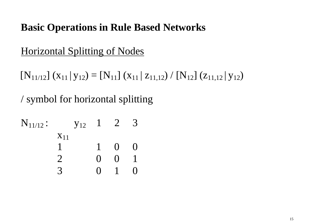## Horizontal Splitting of Nodes

 $[N_{11/12}] (x_{11} | y_{12}) = [N_{11}] (x_{11} | z_{11,12}) / [N_{12}] (z_{11,12} | y_{12})$ 

/ symbol for horizontal splitting

| ${\rm N}_{11/12}$ : |          | $y_{12}$ | $\perp$ | $\mathbb{Z}$      | $\boldsymbol{\mathcal{L}}$ |
|---------------------|----------|----------|---------|-------------------|----------------------------|
|                     | $X_{11}$ |          |         |                   |                            |
|                     |          |          |         | $\mathbf{O}$      | ( )                        |
|                     |          |          | ( )     | $\mathbf{\Omega}$ |                            |
|                     |          |          | 0       |                   |                            |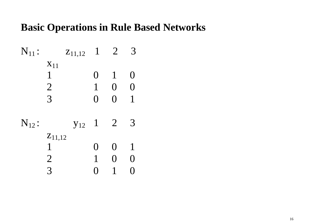| $N_{11}$ : |                | $Z_{11,12}$ | $\mathbf{1}$    | $\overline{2}$           | 3                  |
|------------|----------------|-------------|-----------------|--------------------------|--------------------|
|            | $X_{11}$       |             |                 |                          |                    |
|            | 1              |             | $\Omega$        | $\mathbf{1}$             | O                  |
|            | $\overline{2}$ |             | 1               | $\left(\right)$          | $\bm{\mathrm{()}}$ |
|            | 3              |             | $\left(\right)$ | $\overline{\phantom{0}}$ | $\mathbf 1$        |
| $N_{12}$ : |                | $y_{12}$    | $\mathbf{1}$    | $\overline{2}$           |                    |
|            | $Z_{11,12}$    |             |                 |                          |                    |
|            | 1              |             | $\left(\right)$ | $\left(\right)$          | $\mathbf{1}$       |
|            | $\overline{2}$ |             |                 | ( )                      | ( )                |
|            | 3              |             |                 |                          |                    |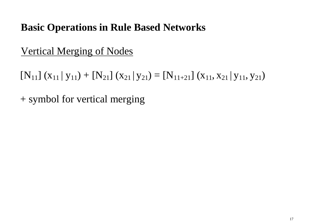### Vertical Merging of Nodes

 $[N_{11}] (x_{11} | y_{11}) + [N_{21}] (x_{21} | y_{21}) = [N_{11+21}] (x_{11}, x_{21} | y_{11}, y_{21})$ 

+ symbol for vertical merging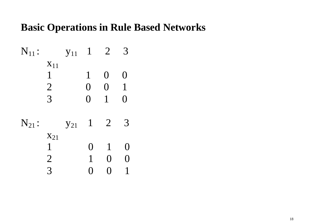| N <sub>11</sub> : | N <sub>11</sub> | 1 | 2 | 3 |
|-------------------|-----------------|---|---|---|
| $x_{11}$          | 1               | 0 | 0 |   |
| 2                 | 0               | 0 | 1 |   |
| 3                 | 0               | 1 | 0 |   |
| N <sub>21</sub> : | $y_{21}$        | 1 | 2 | 3 |
| $x_{21}$          | 1               | 0 | 1 | 0 |
| 2                 | 1               | 0 | 0 |   |
| 3                 | 0               | 0 | 1 |   |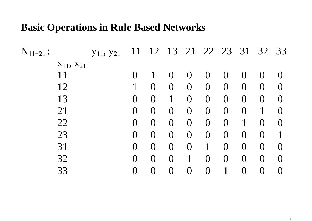| $N_{11+21}$ : |                     | <b>y</b> <sub>11</sub> , <b>y</b> <sub>21</sub> | 11             | 12               |                  |                  | 13 21 22 23    |                | 31             | 32               | 33               |
|---------------|---------------------|-------------------------------------------------|----------------|------------------|------------------|------------------|----------------|----------------|----------------|------------------|------------------|
|               | $X_{11}$ , $X_{21}$ |                                                 |                |                  |                  |                  |                |                |                |                  |                  |
| 11            |                     |                                                 |                |                  | $\left( \right)$ | $\left( \right)$ | $\overline{0}$ | $\overline{0}$ | $\bf{O}$       |                  | $\left( \right)$ |
| 12            |                     |                                                 |                | $\bigcup$        | $\overline{0}$   | $\overline{0}$   | $\overline{0}$ | $\overline{0}$ | $\overline{0}$ | $\overline{0}$   | $\overline{0}$   |
| 13            |                     |                                                 | $\overline{0}$ | $\left( \right)$ |                  | $\overline{0}$   | $\overline{0}$ | $\overline{0}$ | $\overline{0}$ | $\overline{0}$   | $\overline{0}$   |
| 21            |                     |                                                 | $\overline{0}$ | $\bf{0}$         | $\overline{0}$   | $\overline{0}$   | $\overline{0}$ | $\overline{0}$ | $\overline{0}$ | 1                | $\Omega$         |
| 22            |                     |                                                 | $\overline{0}$ | $\overline{0}$   | $\overline{0}$   | $\overline{0}$   | $\overline{0}$ | $\overline{0}$ | 1              | $\left( \right)$ | $\left( \right)$ |
| 23            |                     |                                                 | $\bf{0}$       | $\overline{0}$   | $\overline{0}$   | $\overline{0}$   | $\overline{0}$ | $\overline{0}$ | $\overline{0}$ | $\overline{0}$   | $\mathbf 1$      |
| 31            |                     |                                                 | $\overline{0}$ | $\bigcup$        | $\overline{0}$   | $\overline{0}$   |                | $\overline{0}$ | $\overline{0}$ | $\overline{0}$   | $\left( \right)$ |
| 32            |                     |                                                 | $\overline{0}$ | $\overline{0}$   | $\overline{0}$   |                  | $\overline{0}$ | $\bf{0}$       | $\overline{0}$ | $\overline{0}$   | $\Omega$         |
| 33            |                     |                                                 | $\bf{0}$       |                  | $\bf{0}$         |                  | $\overline{0}$ |                | $\rm 0$        |                  | $\left( \right)$ |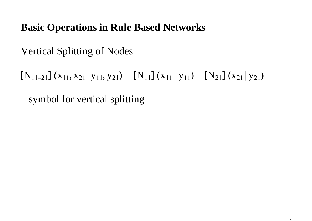### Vertical Splitting of Nodes

 $[N_{11-21}] (x_{11}, x_{21} | y_{11}, y_{21}) = [N_{11}] (x_{11} | y_{11}) - [N_{21}] (x_{21} | y_{21})$ 

– symbol for vertical splitting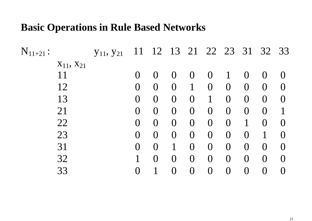| $N_{11+21}$ :       | <b>y</b> <sub>11</sub> , <b>y</b> <sub>21</sub> |                 | 11 12 13 21      |                  |                   |                  |                 | 22 23 31         | 32 33            |                  |
|---------------------|-------------------------------------------------|-----------------|------------------|------------------|-------------------|------------------|-----------------|------------------|------------------|------------------|
| $X_{11}$ , $X_{21}$ |                                                 |                 |                  |                  |                   |                  |                 |                  |                  |                  |
| 11                  |                                                 |                 | $\left( \right)$ | $\left( \right)$ | $\overline{0}$    | $\left( \right)$ |                 | $\left( \right)$ | $\left( \right)$ | $\left( \right)$ |
| 12                  |                                                 | $\bf{O}$        | $\mathbf{O}$     | $\bf{O}$         | $\mathbf 1$       | $\overline{0}$   | $\overline{0}$  | $\overline{0}$   | $\left( \right)$ | $\Omega$         |
| 13                  |                                                 | $\overline{0}$  | $\overline{0}$   | $\overline{0}$   | $\overline{0}$    | 1                | $\overline{0}$  | $\overline{0}$   | $\left( \right)$ | $\Omega$         |
| 21                  |                                                 | $\overline{0}$  | $\left( \right)$ | $\overline{0}$   | $\overline{0}$    | $\overline{0}$   | $\overline{0}$  | $\overline{0}$   | $\overline{0}$   | $\mathbf 1$      |
| 22                  |                                                 | $\bf{O}$        | $\overline{O}$   | $\overline{O}$   | $\overline{0}$    | $\overline{O}$   | $\overline{0}$  | 1                | $\left( \right)$ | $\left( \right)$ |
| 23                  |                                                 | $\overline{0}$  | $\Omega$         | $\overline{0}$   | $\overline{0}$    | $\overline{0}$   | $\overline{0}$  | $\overline{0}$   |                  | $\left( \right)$ |
| 31                  |                                                 | $\bf{O}$        | $\overline{()}$  |                  | $\overline{0}$    | $\bf{O}$         | $\overline{0}$  | $\bf{O}$         | $\left( \right)$ | $\left( \right)$ |
| 32                  |                                                 |                 | $\Omega$         | $\Omega$         | $\overline{0}$    | $\overline{0}$   | $\overline{0}$  | $\overline{0}$   | $\Omega$         | $\Omega$         |
| 33                  |                                                 | $\overline{()}$ |                  |                  | $\mathbf{\Omega}$ | $\bf{0}$         | $\overline{()}$ | $\bigcup$        |                  | $\left( \right)$ |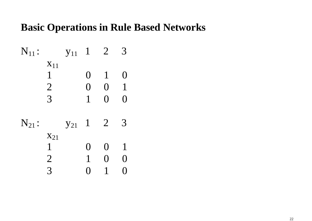N11 : y11 1 2 3 x11 1 0 1 0 2 0 0 1 3 1 0 0 N21 : y21 1 2 3 x21 1 0 0 1 2 1 0 0 3 0 1 0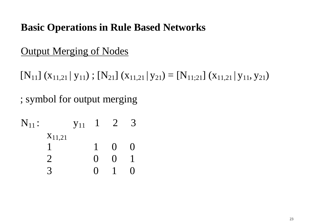## **Output Merging of Nodes**

 $[N_{11}]$  ( $x_{11,21}$  |  $y_{11}$ );  $[N_{21}]$  ( $x_{11,21}$  |  $y_{21}$ ) =  $[N_{11,21}]$  ( $x_{11,21}$  |  $y_{11}, y_{21}$ )

; symbol for output merging

| $N_{11}$ : |             | $y_{11}$ | $\perp$           | $\overline{2}$ |     |
|------------|-------------|----------|-------------------|----------------|-----|
|            | $X_{11,21}$ |          |                   |                |     |
|            |             |          |                   | $\Omega$       | ( ) |
|            |             |          | $\mathbf{\Omega}$ | 0              |     |
|            |             |          | ( )               |                |     |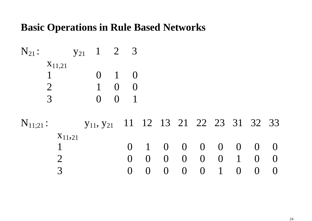$$
N_{21}: \n\begin{array}{ccc}\n & y_{21} & 1 & 2 & 3 \\
& x_{11,21} & 0 & 1 & 0 \\
& 1 & 0 & 0 & 0 \\
& 2 & 1 & 0 & 0 \\
& 3 & 0 & 0 & 1\n\end{array}
$$

 $N_{11;21}$ :  $Y_{11}, Y_{21}$  11 12 13 21 22 23 31 32 33 x11,211 0 0 0 0 0 0 0 0 0 2 0 0 0 0 0 0 0 1 0 0 3 0 0 0 0 0 1 0 0 0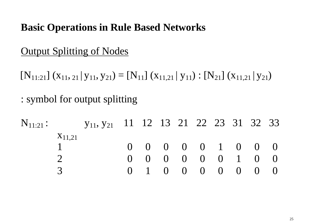## Output Splitting of Nodes

 $[N_{11:21}] (x_{11}, 21 | y_{11}, y_{21}) = [N_{11}] (x_{11,21} | y_{11}) : [N_{21}] (x_{11,21} | y_{21})$ 

: symbol for output splitting

 $N_{11:21}$ :  $y_{11}, y_{21}$  11 12 13 21 22 23 31 32 33  $X_{11,21}$  1 0 0 0 0 0 1 0 0 0 2 0 0 0 0 0 0 1 0 0 3 0 1 0 0 0 0 0 0 0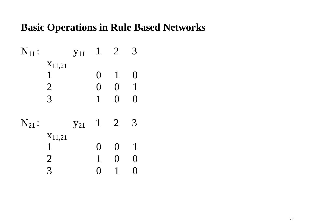N11 : y11 1 2 3 <sup>x</sup>11,21 1 0 1 0 2 0 0 1 3 1 0 0 N21 : y21 1 2 3 <sup>x</sup>11,21 1 0 0 1 2 1 0 0 3 0 1 0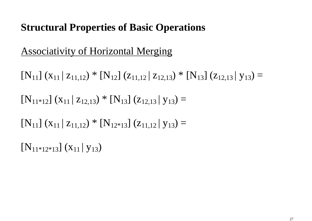## Associativity of Horizontal Merging

 $[N_{11}] (x_{11} | z_{11,12}) * [N_{12}] (z_{11,12} | z_{12,13}) * [N_{13}] (z_{12,13} | y_{13}) =$  $[N_{11*12}] (x_{11} | z_{12,13}) * [N_{13}] (z_{12,13} | y_{13}) =$  $[N_{11}] (x_{11} | z_{11,12}) * [N_{12*13}] (z_{11,12} | y_{13}) =$  $[N_{11^*12^*13}] (x_{11} | y_{13})$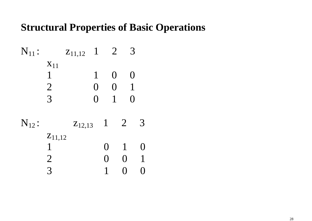N11 : z11,12 1 2 3 x11 1 1 0 0 2 0 0 1 3 0 1 0 N12 : z12,13 1 2 3 <sup>z</sup>11,12 1 0 1 0 2 0 0 1 3 1 0 0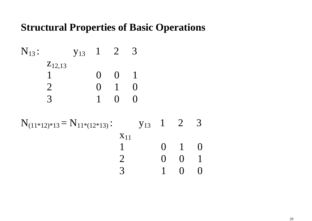| $N_{13}$ :  | $y_{13}$ | 1 | 2 | 3 |
|-------------|----------|---|---|---|
| $z_{12,13}$ | 0        | 0 | 1 |   |
| 1           | 0        | 0 | 1 |   |
| 2           | 0        | 1 | 0 |   |
| 3           | 1        | 0 | 0 |   |

$$
N_{(11*12)*13} = N_{11*(12*13)}: \t y_{13} 1 2 3
$$
  
\n
$$
X_{11} 0 1 0
$$
  
\n
$$
2 0 0 1
$$
  
\n
$$
3 1 0 0
$$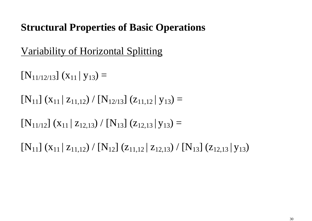Variability of Horizontal Splitting

 $[N_{11/12/13}] (x_{11} | y_{13}) =$ 

 $[N_{11}] (x_{11} | z_{11,12}) / [N_{12/13}] (z_{11,12} | y_{13}) =$ 

 $[N_{11/12}] (x_{11} | z_{12,13}) / [N_{13}] (z_{12,13} | y_{13}) =$ 

 $[N_{11}] (x_{11} | z_{11,12}) / [N_{12}] (z_{11,12} | z_{12,13}) / [N_{13}] (z_{12,13} | y_{13})$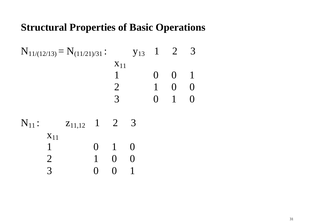$$
N_{11/(12/13)} = N_{(11/21)/31}: \t y_{13} 1 2 3
$$
  
\n
$$
N_{11} 0 0 1
$$
  
\n
$$
2 1 0 0
$$
  
\n
$$
3 0 1 0
$$

$$
N_{11}: \n

| $x_{11}$ | $z_{11,12}$ | 1 | 2 | 3 |
|----------|-------------|---|---|---|
| 1        | 0           | 1 | 0 |   |
| 2        | 1           | 0 | 0 |   |
| 3        | 0           | 0 | 1 |   |
$$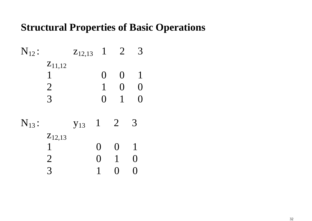| $N_{12}$ : |                  | $Z_{12,13}$ | $\mathbf 1$     | $\overline{2}$   |     |
|------------|------------------|-------------|-----------------|------------------|-----|
|            | $Z_{11,12}$<br>1 |             | $\Omega$        | $\left( \right)$ | 1   |
|            | $\overline{2}$   |             | 1               | $\left( \right)$ | ( ) |
|            | 3                |             | $\left(\right)$ | 1                |     |
| $N_{13}$ : |                  | $y_{13}$    | $\mathbf{1}$    | $\overline{2}$   | 3   |
|            | $Z_{12,13}$      |             |                 |                  |     |
|            |                  |             | 0               | $\left( \right)$ | 1   |
|            | $\overline{2}$   |             | ( )             | 1                |     |
|            | 3                |             |                 |                  |     |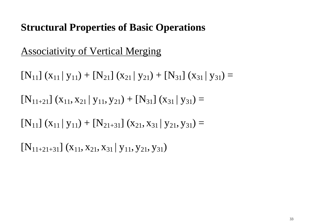## Associativity of Vertical Merging

 $[N_{11}] (x_{11} | y_{11}) + [N_{21}] (x_{21} | y_{21}) + [N_{31}] (x_{31} | y_{31}) =$  $[N_{11+21}] (x_{11}, x_{21} | y_{11}, y_{21}) + [N_{31}] (x_{31} | y_{31}) =$  $[N_{11}] (x_{11} | y_{11}) + [N_{21+31}] (x_{21}, x_{31} | y_{21}, y_{31}) =$ 

 $[N_{11+21+31}] (x_{11}, x_{21}, x_{31} | y_{11}, y_{21}, y_{31})$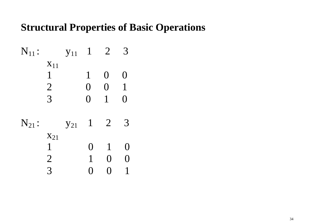| N <sub>11</sub> :                                                                                                                                                                                                                                                                                                                                                                                                                                                                                                                                               | N <sub>11</sub> | 1 | 2 | 3 |
|-----------------------------------------------------------------------------------------------------------------------------------------------------------------------------------------------------------------------------------------------------------------------------------------------------------------------------------------------------------------------------------------------------------------------------------------------------------------------------------------------------------------------------------------------------------------|-----------------|---|---|---|
| $\begin{array}{ccccccc}\n & & & & & & \\ & & & & & & & \\ & & & & & & & \\ & & & & & & & \\ & & & & & & & \\ & & & & & & & \\ & & & & & & & \\ & & & & & & & \\ & & & & & & & \\ & & & & & & & & \\ & & & & & & & & \\ & & & & & & & & & \\ & & & & & & & & & \\ & & & & & & & & & \\ & & & & & & & & & \\ & & & & & & & & & \\ & & & & & & & & & \\ & & & & & & & & & \\ & & & & & & & & & & \\ & & & & & & & & & & \\ & & & & & & & & & & \\ & & & & & & & & & & \\ & & & & & & & & & & & \\ & & & & & & & & & & & \\ & & & & & & & & & & & \\ & & & & & & &$ |                 |   |   |   |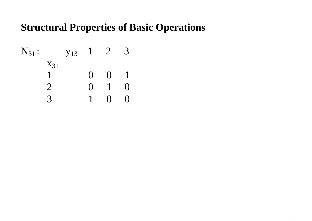| $N_{31}$ : | $y_{13}$ | 1 | 2 | 3 |
|------------|----------|---|---|---|
| $X_{31}$   | 1        | 0 | 0 | 1 |
| 1          | 0        | 0 | 1 | 0 |
| 2          | 0        | 1 | 0 |   |
| 3          | 1        | 0 | 0 |   |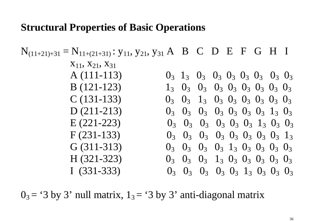$N_{(11+21)+31} = N_{11+(21+31)}$ :  $y_{11}$ ,  $y_{21}$ ,  $y_{31}$  A B C D E F G H I  $X_{11}$ ,  $X_{21}$ ,  $X_{31}$  $A(111-113)$  0<sub>3</sub> 1  $3$   $0_3$   $0_3$   $0_3$   $0_3$   $0_3$   $0_3$   $0_3$   $0_3$  $3$   $0_3$   $0_3$   $0_3$   $0_3$   $0_3$   $0_3$   $0_3$  $B(121-123)$  $0_3$   $0_3$   $1_3$   $0_3$   $0_3$   $0_3$   $0_3$   $0_3$   $0_3$  $C(131-133)$  $0_3$   $0_3$   $0_3$   $0_3$   $0_3$   $0_3$   $0_3$   $0_3$   $1_3$   $0_3$  $D(211-213)$  $0_3$   $0_3$   $0_3$   $0_3$   $0_3$   $0_3$   $0_3$   $1_3$   $0_3$   $0_3$  $E(221-223)$  $0_3$   $0_3$   $0_3$   $0_3$   $0_3$   $0_3$   $0_3$   $0_3$   $1_3$  $F(231-133)$  $0_3$   $0_3$   $0_3$   $0_3$   $1_3$   $0_3$   $0_3$   $0_3$   $0_3$  $G(311-313)$  $0_3$   $0_3$   $0_3$   $1_3$   $0_3$   $0_3$   $0_3$   $0_3$   $0_3$  $H (321-323)$  $0_3$   $0_3$   $0_3$   $0_3$   $0_3$   $1_3$   $0_3$   $0_3$   $0_3$ I  $(331-333)$ 

 $0_3$  = '3 by 3' null matrix,  $1_3$  = '3 by 3' anti-diagonal matrix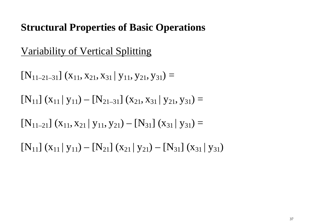## Variability of Vertical Splitting

 $[N_{11-21-31}] (x_{11}, x_{21}, x_{31} | y_{11}, y_{21}, y_{31}) =$  $[N_{11}] (x_{11} | y_{11}) - [N_{21-31}] (x_{21}, x_{31} | y_{21}, y_{31}) =$  $[N_{11-21}] (x_{11}, x_{21} | y_{11}, y_{21}) - [N_{31}] (x_{31} | y_{31}) =$  $[N_{11}] (x_{11} | y_{11}) - [N_{21}] (x_{21} | y_{21}) - [N_{31}] (x_{31} | y_{31})$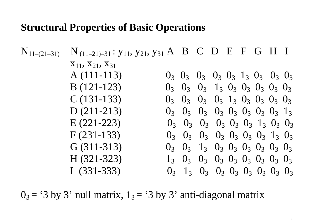$N_{11-(21-31)} = N_{(11-21)-31}$ :  $y_{11}, y_{21}, y_{31}$  A B C D E F G H I  $X_{11}$ ,  $X_{21}$ ,  $X_{31}$  $A(111-113)$   $0_3$  0  $3$   $0_3$   $0_3$   $1_3$   $0_3$   $0_3$   $0_3$   $0_3$   $0_3$  $_3$   $0_3$   $0_3$   $0_3$   $1_3$   $0_3$   $0_3$   $0_3$  $B(121-123)$  $0_3$   $0_3$   $0_3$   $0_3$   $1_3$   $0_3$   $0_3$   $0_3$   $0_3$  $C(131-133)$  $0_3$   $0_3$   $0_3$   $0_3$   $0_3$   $0_3$   $0_3$   $0_3$   $1_3$  $D(211-213)$  $0_3$   $0_3$   $0_3$   $0_3$   $0_3$   $0_3$   $0_3$   $1_3$   $0_3$   $0_3$  $E(221-223)$  $0_3$   $0_3$   $0_3$   $0_3$   $0_3$   $0_3$   $0_3$   $0_3$   $1_3$   $0_3$  $F(231-133)$  $0_3$   $0_3$   $1_3$   $0_3$   $0_3$   $0_3$   $0_3$   $0_3$   $0_3$  $G(311-313)$  $1_3$   $0_3$   $0_3$   $0_3$   $0_3$   $0_3$   $0_3$   $0_3$   $0_3$  $H$  (321-323)  $0_3$  1<sub>3</sub>  $0_3$   $0_3$   $0_3$   $0_3$   $0_3$   $0_3$   $0_3$ I  $(331-333)$ 

 $0_3$  = '3 by 3' null matrix,  $1_3$  = '3 by 3' anti-diagonal matrix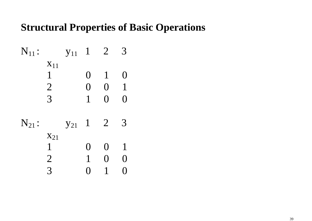N11 : y11 1 2 3 x11 1 0 1 0 2 0 0 1 3 1 0 0 N21 : y21 1 2 3 x21 1 0 0 1 2 1 0 0 3 0 1 0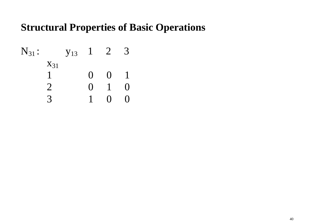| $N_{31}$ : | $y_{13}$ | 1 | 2 | 3 |
|------------|----------|---|---|---|
| $X_{31}$   | 1        | 0 | 0 | 1 |
| 1          | 0        | 0 | 1 | 0 |
| 2          | 0        | 1 | 0 |   |
| 3          | 1        | 0 | 0 |   |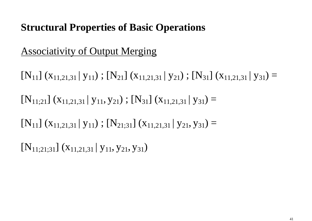## Associativity of Output Merging

 $[N_{11}]$  ( $X_{11,21,31}$  |  $Y_{11}$ );  $[N_{21}]$  ( $X_{11,21,31}$  |  $Y_{21}$ );  $[N_{31}]$  ( $X_{11,21,31}$  |  $Y_{31}$ ) =  $[N_{11;21}]$   $(X_{11,21,31} | y_{11}, y_{21})$ ;  $[N_{31}]$   $(X_{11,21,31} | y_{31}) =$  $[N_{11}]$  ( $X_{11,21,31}$  |  $Y_{11}$ );  $[N_{21,31}]$  ( $X_{11,21,31}$  |  $Y_{21}, Y_{31}$ ) =  $[N_{11;21;31}]$   $(X_{11,21,31} | Y_{11}, Y_{21}, Y_{31})$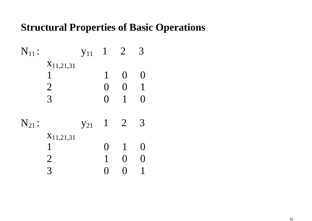| $N_{11}$ : |                | $y_{11}$ | $\mathbf{1}$     | $\overline{2}$   |                 |
|------------|----------------|----------|------------------|------------------|-----------------|
|            | $X_{11,21,31}$ |          |                  |                  |                 |
|            | 1              |          | $\mathbf{1}$     | $\left( \right)$ | $\left(\right)$ |
|            | $\overline{2}$ |          | $\left( \right)$ | $\left( \right)$ | $\pmb{1}$       |
|            | 3              |          | $\left( \right)$ | 1                | $\left(\right)$ |
| $N_{21}$ : |                | $y_{21}$ | $\mathbf{1}$     | $\overline{2}$   | 3               |
|            | $X_{11,21,31}$ |          |                  |                  |                 |
|            | 1              |          | $\left(\right)$  | $\mathbf 1$      | $\left(\right)$ |
|            | $\overline{2}$ |          |                  | ( )              |                 |
|            | 3              |          |                  |                  |                 |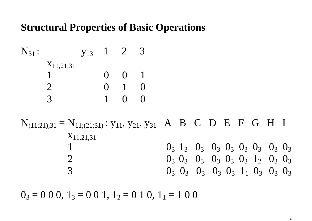$N_{31}$ :  $V_{13}$  1 2 3  $X_{11,21,31}$  1 0 0 1 2 0 1 0 3 1 0 0

 $N_{(11;21);31} = N_{11;(21;31)}$ :  $y_{11}, y_{21}, y_{31}$  A B C D E F G H I X<sub>11</sub>,2<sub>1</sub>,3<sup>1</sup>  $0_3$  1<sub>3</sub>  $0_3$  0<sub>3</sub>  $0_3$  0<sub>3</sub>  $0_3$  0<sub>3</sub>  $0_3$  0<sub>3</sub> 2  $0_3$   $0_3$   $0_3$   $0_3$   $0_3$   $0_3$   $0_3$   $1_2$   $0_3$   $0_3$  $_3$   $0_3$   $0_3$   $0_3$   $0_3$   $1_1$   $0_3$   $0_3$   $0_3$ 3 0

 $0_3 = 0\ 0\ 0$ ,  $1_3 = 0\ 0\ 1$ ,  $1_2 = 0\ 1\ 0$ ,  $1_1 = 1\ 0\ 0$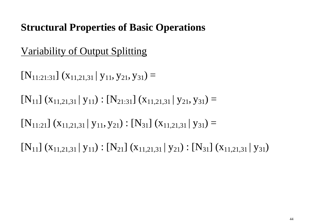## Variability of Output Splitting

 $[N_{11:21:31}]$   $(X_{11,21,31} | Y_{11}, Y_{21}, Y_{31}) =$ 

- $[N_{11}]$   $(X_{11,21,31} | y_{11})$  :  $[N_{21:31}]$   $(X_{11,21,31} | y_{21}, y_{31}) =$
- $[N_{11:21}] (x_{11,21,31} | y_{11}, y_{21}) : [N_{31}] (x_{11,21,31} | y_{31}) =$

 $[N_{11}] (x_{11,21,31} | y_{11}) : [N_{21}] (x_{11,21,31} | y_{21}) : [N_{31}] (x_{11,21,31} | y_{31})$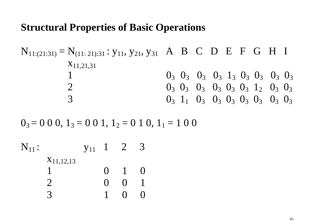$$
N_{11:(21:31)} = N_{(11:21):31}: y_{11}, y_{21}, y_{31} A B C D E F G H I
$$
  
\n
$$
N_{11,21,31}
$$
  
\n
$$
1
$$
  
\n
$$
0_3 0_3 0_3 0_3 0_3 1_3 0_3 0_3 0_3 0_3 0_3
$$
  
\n
$$
0_3 0_3 0_3 0_3 0_3 0_3 0_3 1_2 0_3 0_3
$$
  
\n
$$
0_3 1_1 0_3 0_3 0_3 0_3 0_3 0_3 0_3
$$
  
\n
$$
0_3 0_3 0_3 0_3 0_3 0_3 0_3 0_3
$$

 $0_3 = 0 0 0$ ,  $1_3 = 0 0 1$ ,  $1_2 = 0 1 0$ ,  $1_1 = 1 0 0 1$ 

 $N_{11}$  :  $y_{11}$  1 2 3  $X_{11,12,13}$  1 0 1 0 2 0 0 1 3 1 0 0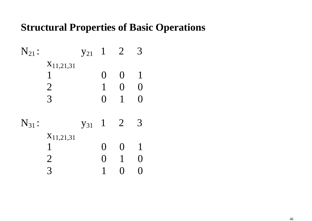| $N_{21}$ : |                | $y_{21}$ | $\mathbf{1}$    | $\overline{2}$   |              |
|------------|----------------|----------|-----------------|------------------|--------------|
|            | $X_{11,21,31}$ |          |                 |                  |              |
|            | 1              |          | $\left(\right)$ | $\left( \right)$ | $\mathbf{1}$ |
|            | $\overline{2}$ |          |                 | $\Omega$         | O            |
|            | 3              |          | $\left(\right)$ | 1                |              |
| $N_{31}$ : |                | $y_{31}$ | $\mathbf{1}$    | $\overline{2}$   | 3            |
|            | $X_{11,21,31}$ |          |                 |                  |              |
|            | 1              |          | ( )             | $\left(\right)$  |              |
|            | $\overline{2}$ |          | ( )             |                  | ( )          |
|            | 3              |          |                 |                  |              |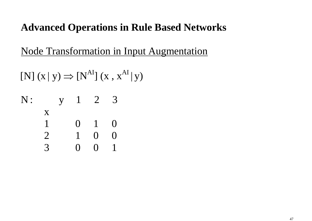Node Transformation in Input Augmentation

 $[N]$  (x | y)  $\Rightarrow$   $[N^{AI}]$  (x,  $x^{AI}$  | y) | N: y 1 2 3

$$
\begin{array}{cccccc}\n & x & & & \\
 & 1 & & 0 & 1 & 0 \\
 & 2 & & 1 & 0 & 0 \\
 & 3 & & 0 & 0 & 1\n\end{array}
$$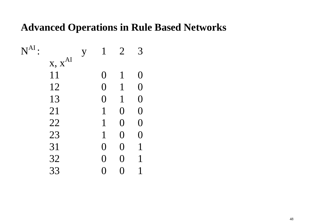| $N^{AI}$ |             | y | 1                | $\overline{2}$    |                 |
|----------|-------------|---|------------------|-------------------|-----------------|
|          | $x, x^{AI}$ |   |                  |                   |                 |
|          | 11          |   | $\left( \right)$ | $\mathbf 1$       | $\left(\right)$ |
|          | 12          |   | $\Omega$         | $\mathbf 1$       | $\Omega$        |
|          | 13          |   | $\Omega$         | $\mathbf 1$       | $\Omega$        |
|          | 21          |   |                  | $\Omega$          | $\overline{0}$  |
|          | 22          |   | 1                | $\Omega$          | $\overline{0}$  |
|          | 23          |   |                  | $\bm{0}$          | O               |
|          | 31          |   | $\left(\right)$  | O                 | 1               |
|          | 32          |   | ( )              | $\bm{\mathrm{O}}$ | 1               |
|          | 33          |   |                  |                   |                 |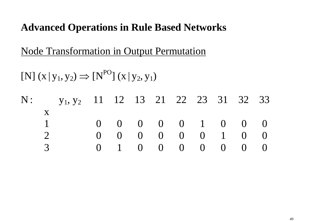Node Transformation in Output Permutation

[N] (x | <sup>y</sup>  $_1, y_2) \Rightarrow [N^{PO}] (x|y)$  $_2, y_1)$ 

|  | N: $y_1, y_2$ 11 12 13 21 22 23 31 32 33 |  |  |  |                                        |  |
|--|------------------------------------------|--|--|--|----------------------------------------|--|
|  |                                          |  |  |  |                                        |  |
|  |                                          |  |  |  | $0 \t 0 \t 0 \t 0 \t 1 \t 0 \t 0$      |  |
|  |                                          |  |  |  | $0 \t 0 \t 0 \t 0 \t 0 \t 1 \t 0 \t 0$ |  |
|  |                                          |  |  |  | $0 \t 1 \t 0 \t 0 \t 0 \t 0 \t 0 \t 0$ |  |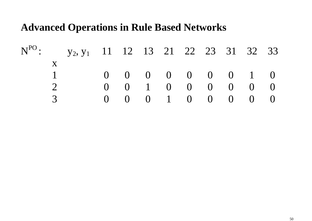|  | $N^{PO}$ : $y_2, y_1$ 11 12 13 21 22 23 31 32 33 |  |  |  |                                        |  |
|--|--------------------------------------------------|--|--|--|----------------------------------------|--|
|  |                                                  |  |  |  |                                        |  |
|  |                                                  |  |  |  | $0 \t 0 \t 0 \t 0 \t 0 \t 0 \t 1 \t 0$ |  |
|  |                                                  |  |  |  | $0 \t 0 \t 1 \t 0 \t 0 \t 0 \t 0 \t 0$ |  |
|  |                                                  |  |  |  | $0 \t 0 \t 0 \t 1 \t 0 \t 0 \t 0 \t 0$ |  |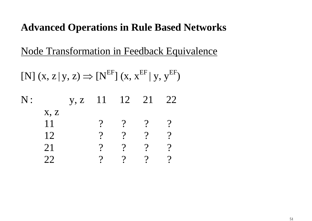Node Transformation in Feedback Equivalence

 $[N]$  (x, z | y, z)  $\Rightarrow$   $[N^{\text{EF}}]$  (x,  $X^{\text{EF}}$  | y,  $Y^{\text{EF}}$ )

N: y, z 11 12 21 22 x, z $\begin{array}{ccccccccc} & & & 11 & & & & ? & & ? & ? & ? \ & & 12 & & & ? & & ? & & ? \ & & 21 & & & ? & & ? & & ? & ? \ & & 22 & & & ? & & ? & & ? & ? \end{array}$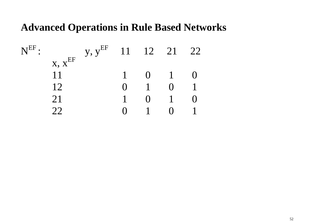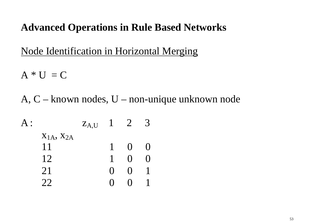Node Identification in Horizontal Merging

 $A * U = C$ 

A, C – known nodes, U – non-unique unknown node

 $A$  :  $z_{A,U}$  1 2 3  $X<sub>1A</sub>, X<sub>2A</sub>$ 1 1 0 0 12 1 0 0 21 0 0 1 22 0 0 1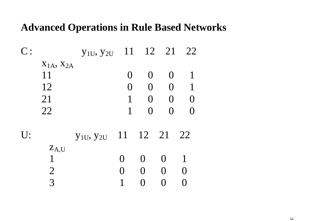| C: |                     | $y_{1U}$ , $y_{2U}$ | 11               |                   | 12 21             | 22                |
|----|---------------------|---------------------|------------------|-------------------|-------------------|-------------------|
|    | $X_{1A}$ , $X_{2A}$ |                     |                  |                   |                   |                   |
|    | 11                  |                     | $\left( \right)$ | $\left( \right)$  | $\left( \right)$  |                   |
|    | 12                  |                     | $\left( \right)$ | $\overline{0}$    | $\overline{0}$    |                   |
|    | 21                  |                     | $\mathbf{1}$     | $\Omega$          | $\overline{0}$    | $\left(\right)$   |
|    | 22                  |                     | $\mathbf{1}$     | $\Omega$          | $\left( \right)$  | $\bigcap$         |
| U: |                     | $y_{1U}$ , $y_{2U}$ | 11               | 12 21             |                   | 22                |
|    | $Z_{A,U}$           |                     |                  |                   |                   |                   |
|    | $\mathbf{1}$        |                     | 0                | $\left( \right)$  | $\mathbf{\Omega}$ |                   |
|    | $\overline{2}$      |                     | $\left( \right)$ | $\mathbf{\Omega}$ | $\left( \right)$  | $\mathbf{\Omega}$ |
|    | 3                   |                     | 1                |                   | $\left(\right)$   |                   |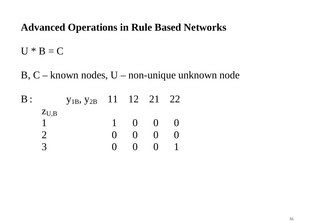$U * B = C$ 

B, C – known nodes, U – non-unique unknown node

| $\rm{B}$ : |           | Y <sub>1B</sub> , Y <sub>2B</sub> 11 12 21 22 |              |                   |  |
|------------|-----------|-----------------------------------------------|--------------|-------------------|--|
|            | $Z_{U,B}$ |                                               |              |                   |  |
|            |           |                                               | $\bigcap$    | $\left( \right)$  |  |
|            |           |                                               | $\mathbf{O}$ | $\mathbf{\Omega}$ |  |
|            |           |                                               |              | ( )               |  |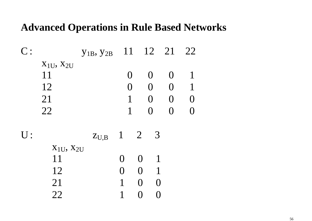|    |                     | $y_{1B}$ , $y_{2B}$ | 11                |                 |                       | 12 21            | 22                |
|----|---------------------|---------------------|-------------------|-----------------|-----------------------|------------------|-------------------|
|    | $X_{1U}$ , $X_{2U}$ |                     |                   |                 |                       |                  |                   |
|    | 11                  |                     | $\left( \right)$  |                 | $\overline{0}$        | $\left( \right)$ |                   |
|    | 12                  |                     | $\left( \right)$  |                 | $\overline{0}$        | $\Omega$         |                   |
|    | 21                  |                     | $\mathbf{1}$      |                 | $\overline{0}$        | $\Omega$         | $\mathbf{\Omega}$ |
|    | 22                  |                     | $\mathbf{1}$      |                 | $\overline{0}$        | $\left( \right)$ |                   |
|    |                     |                     |                   |                 |                       |                  |                   |
| U: |                     | $Z_{U,B}$           | $1 \quad 2$       |                 | $\overline{3}$        |                  |                   |
|    | $X_{1U}$ , $X_{2U}$ |                     |                   |                 |                       |                  |                   |
|    | 11                  |                     | $\mathbf{\Omega}$ | $\Omega$        | $\mathbf{1}$          |                  |                   |
|    | 12                  |                     | $\overline{()}$   | 0               |                       |                  |                   |
|    | 21                  |                     | 1                 | 0               | $\mathbf{\mathbf{I}}$ |                  |                   |
|    | 22                  |                     |                   | $\left(\right)$ |                       |                  |                   |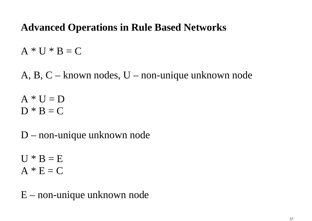$A * U * B = C$ 

A, B, C – known nodes, U – non-unique unknown node

 $A * U = D$  $D * B = C$ 

D – non-unique unknown node

 $U * B = E$  $A * E = C$ 

E – non-unique unknown node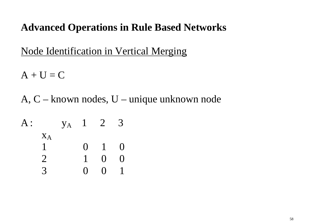Node Identification in Vertical Merging

 $A + U = C$ 

A, C – known nodes, U – unique unknown node

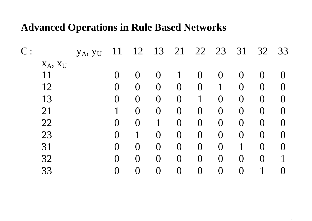| C:            | YA, YU | 11             | 12               | 13             | 21             | 22             | 23               | 31             | 32             | 33               |
|---------------|--------|----------------|------------------|----------------|----------------|----------------|------------------|----------------|----------------|------------------|
| $X_A$ , $X_U$ |        |                |                  |                |                |                |                  |                |                |                  |
| 11            |        |                | $\left( \right)$ | $\bf{0}$       |                | $\Omega$       | $\left( \right)$ |                | $\Omega$       |                  |
| 12            |        | O              | $\bigcup$        | $\bf{0}$       | $\bf{0}$       | $\overline{0}$ | 1                | $\bm{0}$       | $\overline{0}$ | $\left( \right)$ |
| 13            |        | O              | $\overline{0}$   | $\bm{0}$       | $\overline{0}$ |                | $\overline{0}$   | $\overline{0}$ | $\overline{0}$ | $\Omega$         |
| 21            |        |                | $\overline{0}$   | $\bf{0}$       | $\overline{0}$ | $\overline{0}$ | $\overline{0}$   | $\overline{0}$ | $\overline{0}$ | $\left( \right)$ |
| 22            |        | $\bm{O}$       | $\left( \right)$ |                | $\overline{0}$ | $\overline{0}$ | $\overline{0}$   | $\overline{0}$ | $\overline{0}$ | $\Omega$         |
| 23            |        | $\Omega$       |                  | $\bf{0}$       | $\overline{0}$ | $\overline{0}$ | $\overline{0}$   | $\overline{0}$ | $\overline{0}$ | $\Omega$         |
| 31            |        | $\overline{0}$ | $\bigcup$        | $\overline{0}$ | $\overline{0}$ | $\overline{0}$ | $\overline{0}$   |                | $\overline{0}$ | $\left( \right)$ |
| 32            |        | O              | $\Omega$         | $\overline{0}$ | $\overline{0}$ | $\Omega$       | $\overline{0}$   | $\Omega$       | $\Omega$       |                  |
| 33            |        | $\rm 0$        | $\overline{0}$   | $\overline{0}$ | $\overline{0}$ | $\overline{0}$ | $\overline{0}$   |                |                |                  |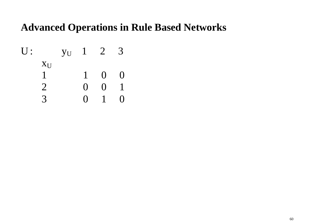$$
U: \begin{array}{cccccc} y_U & 1 & 2 & 3 \\ x_U & & & 1 & 0 & 0 \\ 1 & & 1 & 0 & 0 \\ 2 & & 0 & 0 & 1 \\ 3 & & 0 & 1 & 0 \end{array}
$$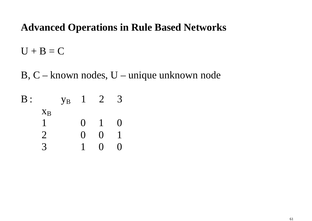$U + B = C$ 

B, C – known nodes, U – unique unknown node

| $\mathrm{B}$ : |                | <b>y</b> <sub>B</sub> |                    | $\overline{2}$    | 3               |
|----------------|----------------|-----------------------|--------------------|-------------------|-----------------|
|                | $X_B$          |                       |                    |                   |                 |
|                |                |                       | $\mathbf{\Omega}$  | 1                 | $\left(\right)$ |
|                | $\overline{2}$ |                       | $\left( \ \right)$ | $\mathbf{\Omega}$ |                 |
|                |                |                       |                    | l)                |                 |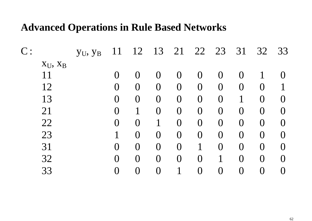| $C$ :         | YU, YB | 11      | 12               | 13             | 21             | 22             | 23               | 31             | 32                | 33                |
|---------------|--------|---------|------------------|----------------|----------------|----------------|------------------|----------------|-------------------|-------------------|
| $X_U$ , $X_B$ |        |         |                  |                |                |                |                  |                |                   |                   |
| 11            |        |         | $\bigcap$        |                | $\overline{0}$ | O              | $\left( \right)$ |                |                   |                   |
| 12            |        | O       | $\bigcup$        | Ő              | $\bf{0}$       | $\bm{0}$       | $\overline{0}$   | $\bf{0}$       | $\left( \right)$  |                   |
| 13            |        | O       | $\overline{0}$   | O              | $\overline{0}$ | O              | $\overline{0}$   |                | $\overline{0}$    | $\left(\right)$   |
| 21            |        | $\rm 0$ |                  | $\rm 0$        | $\overline{0}$ | $\overline{0}$ | $\overline{0}$   | $\rm 0$        | $\overline{0}$    | 0                 |
| 22            |        | $\rm 0$ | $\left( \right)$ |                | $\overline{0}$ | $\overline{0}$ | $\overline{0}$   | $\bf{0}$       | $\bigcup$         | $\mathbf{\Omega}$ |
| 23            |        |         | $\overline{0}$   | $\overline{0}$ | $\overline{0}$ | O              | $\overline{0}$   | $\overline{0}$ | $\overline{0}$    |                   |
| 31            |        | O       | $\overline{0}$   | $\bf{0}$       | $\overline{0}$ |                | $\overline{0}$   | $\bf{0}$       | $\overline{0}$    | $\bigcap$         |
| 32            |        | O       | $\Omega$         | O              | $\overline{0}$ | O              |                  | O              | $\bm{\mathrm{O}}$ |                   |
| 33            |        | $\rm 0$ | $\bigcup$        | $\rm 0$        |                | $\rm 0$        | $\overline{0}$   | ⋂              | $\left(\right)$   |                   |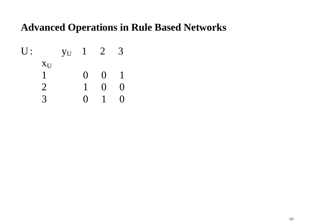$$
U: \begin{array}{cccccc} y_U & 1 & 2 & 3 \\ x_U & & & 0 & 0 & 1 \\ 1 & & 0 & 0 & 1 \\ 2 & & 1 & 0 & 0 \\ 3 & & 0 & 1 & 0 \end{array}
$$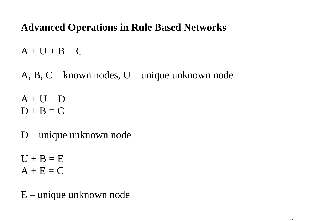$A + U + B = C$ 

A, B, C – known nodes, U – unique unknown node

 $A + U = D$  $D + B = C$ 

D – unique unknown node

 $U + B = E$  $A + E = C$ 

E – unique unknown node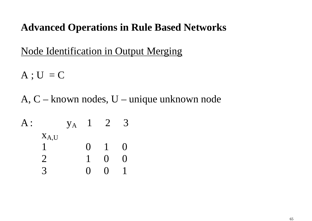Node Identification in Output Merging

 $A$ ;  $U = C$ 

A, C – known nodes, U – unique unknown node

A:  
\n
$$
\begin{array}{cccccc}\n & x_{A,U} & & 1 & 2 & 3 \\
1 & 0 & 1 & 0 & \\
2 & 1 & 0 & 0 & \\
3 & 0 & 0 & 1 & \\
\end{array}
$$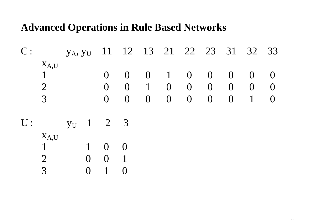|               | C: $y_A, y_U$ 11 12 13 21 22 23 31 32 33 |  |  |  |                                        |  |
|---------------|------------------------------------------|--|--|--|----------------------------------------|--|
| $X_{A,U}$     |                                          |  |  |  |                                        |  |
| $\sim$        |                                          |  |  |  | $0 \t 0 \t 0 \t 1 \t 0 \t 0 \t 0 \t 0$ |  |
| $\mathcal{D}$ |                                          |  |  |  | $0 \t 0 \t 1 \t 0 \t 0 \t 0 \t 0 \t 0$ |  |
| $\mathcal{R}$ |                                          |  |  |  | $0 \t 0 \t 0 \t 0 \t 0 \t 0 \t 1 \t 0$ |  |
|               |                                          |  |  |  |                                        |  |

U:  $U:$   $y_U$  $\sqrt{1}$  2 3 <sup>x</sup>A,U 1 1 0 0 2 0 0 1

3 0 1 0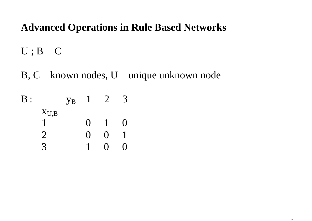$U$ ;  $B = C$ 

B, C – known nodes, U – unique unknown node

| $\mathrm{B}$ : |           | $\overline{y}_{B}$ | $\mathbf{I}$      | $\sum$                  | $\prec$       |
|----------------|-----------|--------------------|-------------------|-------------------------|---------------|
|                | $X_{U,B}$ |                    |                   |                         |               |
|                |           |                    | $\mathbf{\Omega}$ | $\overline{\mathbf{1}}$ | ( )           |
|                |           |                    | $\mathbf{\Omega}$ | ( )                     |               |
|                |           |                    |                   | l 1                     | $\mathcal{L}$ |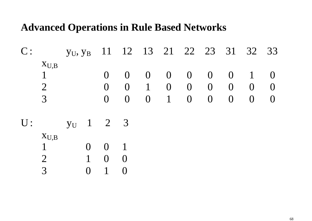| $X_{U,B}$     |  |  |  |  |                                                                                                                                                                        |
|---------------|--|--|--|--|------------------------------------------------------------------------------------------------------------------------------------------------------------------------|
| $\sim$        |  |  |  |  |                                                                                                                                                                        |
| $\mathcal{D}$ |  |  |  |  |                                                                                                                                                                        |
|               |  |  |  |  |                                                                                                                                                                        |
|               |  |  |  |  | C: $y_U, y_B$ 11 12 13 21 22 23 31 32 33<br>$0 \t 0 \t 0 \t 0 \t 0 \t 0 \t 1 \t 0$<br>$0 \t 0 \t 1 \t 0 \t 0 \t 0 \t 0 \t 0$<br>$0 \t 0 \t 0 \t 1 \t 0 \t 0 \t 0 \t 0$ |

 $U:$  y  $y_U$  1 2 3  $X_{U,B}$  1 0 0 1 2 1 0 0

3 0 1 0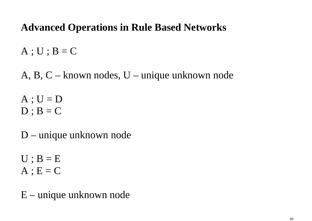$A$ ;  $U$ ;  $B = C$ 

A, B, C – known nodes, U – unique unknown node

 $A$ ;  $U = D$  $D$ ;  $B = C$ 

D – unique unknown node

 $U$ ;  $B = E$  $A$ ;  $E = C$ 

E – unique unknown node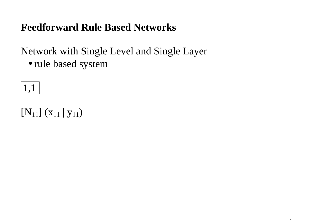## **Feedforward Rule Based Networks**

# Network with Single Level and Single Layer

• rule based system

# 1,1

# $[N_{11}] (x_{11} | y_{11})$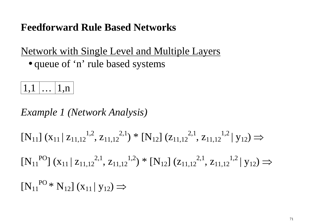## **Feedforward Rule Based Networks**

Network with Single Level and Multiple Layers• queue of 'n' rule based systems



*Example 1 (Network Analysis)* 

 $[N_{11}]$   $(X_{11} | Z_{11,12}^{1,2}, Z_{11,12}^{2,1})$  \*  $[N_{12}]$   $(Z_{11,12}^{2,1}, Z_{11,12}^{1,2} | Y_{12})$ ⇒

 $[N_{11}^{PQ}](x_{11} | z_{11,12}^{2,1}, z_{11,12}^{1,2}) * [N_{12}](z_{11,12}^{2,1}, z_{11,12}^{1,2} | y_{12})$ ⇒

 $[N_{11}^{PQ} * N_{12}] (x_{11} | y_{12}) \Rightarrow$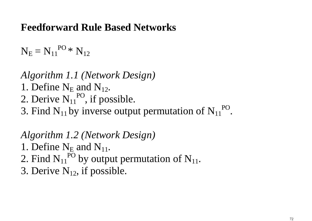## **Feedforward Rule Based Networks**

 $\mathrm{N_{E}=N_{11}}^{\mathrm{PO}\,*}\mathrm{N_{12}}$ 

*Algorithm 1.1 (Network Design)* 1. Define  $N_E$  and  $N_{12}$ . 2. Derive  $N_{11}^{PQ}$ , if possible.

3. Find  $N_{11}$  by inverse output permutation of  $N_{11}^{PQ}$ .

*Algorithm 1.2 (Network Design)* 

1. Define  $N_E$  and  $N_{11}$ .

2. Find  $N_{11}^{PO}$  by output permutation of  $N_{11}$ .

3. Derive  $N_{12}$ , if possible.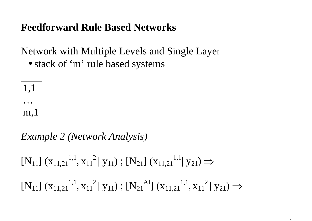Network with Multiple Levels and Single Layer

• stack of 'm' rule based systems



*Example 2 (Network Analysis)* 

 $[N_{11}]$   $(X_{11,21}^{1,1}, X_{11}^{2} | y_{11})$ ;  $[N_{21}]$   $(X_{11,21}^{1,1} | y_{21}) \Rightarrow$ 

 $[N_{11}]$   $(X_{11,21}^{1,1}, X_{11}^{2} | y_{11})$ ;  $[N_{21}^{Al}](X_{11,21}^{1,1}, X_{11}^{2} | y_{21}) \Rightarrow$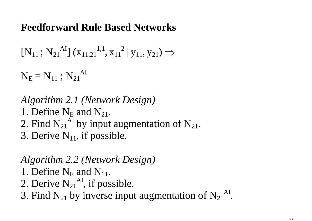$$
[N_{11}\,;\,N_{21}{}^{AI}]\;(x_{11,21}{}^{1,1},x_{11}{}^2\,|\;y_{11},y_{21})\Longrightarrow
$$

 $\mathrm{N_{E}=N_{11}:N_{21}}^{\mathrm{Al}}$ 

*Algorithm 2.1 (Network Design)* 1. Define  $N_E$  and  $N_{21}$ . 2. Find  $N_{21}^{AI}$  by input augmentation of  $N_{21}$ . 3. Derive  $N_{11}$ , if possible.

*Algorithm 2.2 (Network Design)* 1. Define  $N_E$  and  $N_{11}$ . 2. Derive  $N_{21}^{AI}$ , if possible. 3. Find  $N_{21}$  by inverse input augmentation of  $N_{21}^{Al}$ .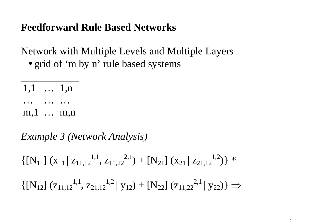Network with Multiple Levels and Multiple Layers

• grid of 'm by n' rule based systems

|      | 1, n |
|------|------|
|      |      |
| m, l | m,n  |
|      |      |

*Example 3 (Network Analysis)* 

 $\{[\mathbf{N}_{11}] (\mathbf{x}_{11} | \mathbf{z}_{11,12}^{1,1}, \mathbf{z}_{11,22}^{2,1}) + [\mathbf{N}_{21}] (\mathbf{x}_{21} | \mathbf{z}_{21,12}^{1,2})\}$ \*

 $\{[\mathbf{N}_{12}]$   $(\mathbf{z}_{11,12}^{1,1}, \mathbf{z}_{21,12}^{1,2} | \mathbf{y}_{12}) + [\mathbf{N}_{22}] (\mathbf{z}_{11,22}^{2,1} | \mathbf{y}_{22})\} \Rightarrow$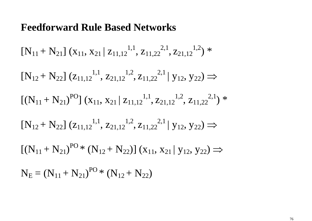$[N_{11} + N_{21}] (x_{11}, x_{21} | z_{11,12}^{1,1}, z_{11,22}^{2,1})$  $,\rm{Z_{21,12}}^{1,2})$  \*  $[N_{12} + N_{22}] (z_{11,12}^{1,1}, z_{21,12}^{1,2}, z_{11,22}^{2,1} | y_{12}, y_{22}) \Rightarrow$  $[(N_{11} + N_{21})^{PO}](x_{11}, x_{21} | z_{11,12}^{1,1})$  $, \mathsf{z}_{21,12}{}^{1,2}, \mathsf{z}_{11,22}{}^{2,1})$  \*  $[N_{12} + N_{22}] (z_{11,12}^{1,1}, z_{21,12}^{1,2}, z_{11,22}^{2,1} | y_{12}, y_{22}) \Rightarrow$  $[(N_{11} + N_{21})^{PO*} (N_{12} + N_{22})] (x_{11}, x_{21} | y_{12}, y_{22}) \Rightarrow$  $N_{E} = (N_{11} + N_{21})^{PO*} (N_{12} + N_{22})$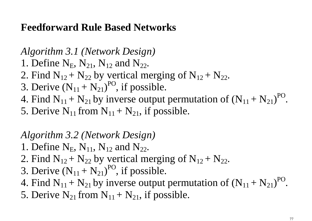*Algorithm 3.1 (Network Design)* 

- 1. Define  $N_E$ ,  $N_{21}$ ,  $N_{12}$  and  $N_{22}$ .
- 2. Find  $N_{12} + N_{22}$  by vertical merging of  $N_{12} + N_{22}$ .
- 3. Derive  $(N_{11} + N_{21})^{PO}$ , if possible.
- 4. Find  $N_{11} + N_{21}$  by inverse output permutation of  $(N_{11} + N_{21})^{PO}$ .
- 5. Derive  $N_{11}$  from  $N_{11} + N_{21}$ , if possible.

## *Algorithm 3.2 (Network Design)*

- 1. Define  $N_E$ ,  $N_{11}$ ,  $N_{12}$  and  $N_{22}$ .
- 2. Find  $N_{12} + N_{22}$  by vertical merging of  $N_{12} + N_{22}$ .
- 3. Derive  $(N_{11} + N_{21})^{PO}$ , if possible.
- 4. Find  $N_{11} + N_{21}$  by inverse output permutation of  $(N_{11} + N_{21})^{PO}$ .
- 5. Derive  $N_{21}$  from  $N_{11} + N_{21}$ , if possible.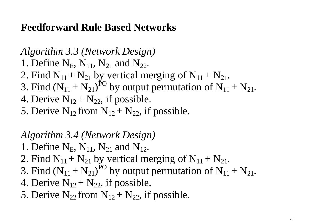- *Algorithm 3.3 (Network Design)*
- 1. Define  $N_E$ ,  $N_{11}$ ,  $N_{21}$  and  $N_{22}$ .
- 2. Find  $N_{11} + N_{21}$  by vertical merging of  $N_{11} + N_{21}$ .
- 3. Find  $(N_{11} + N_{21})^{PO}$  by output permutation of  $N_{11} + N_{21}$ .
- 4. Derive  $N_{12} + N_{22}$ , if possible.
- 5. Derive  $N_{12}$  from  $N_{12} + N_{22}$ , if possible.

## *Algorithm 3.4 (Network Design)*

- 1. Define  $N_E$ ,  $N_{11}$ ,  $N_{21}$  and  $N_{12}$ .
- 2. Find  $N_{11} + N_{21}$  by vertical merging of  $N_{11} + N_{21}$ .
- 3. Find  $(N_{11} + N_{21})^{PO}$  by output permutation of  $N_{11} + N_{21}$ .
- 4. Derive  $N_{12} + N_{22}$ , if possible.
- 5. Derive  $N_{22}$  from  $N_{12} + N_{22}$ , if possible.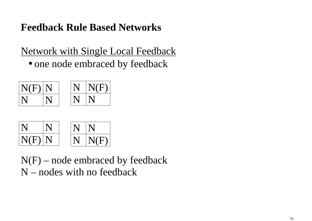Network with Single Local Feedback

• one node embraced by feedback





 $N(F)$  – node embraced by feedback N – nodes with no feedback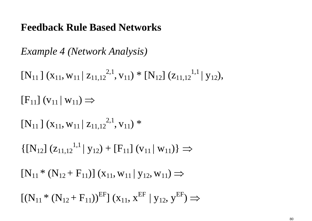*Example 4 (Network Analysis)* 

 $[N_{11}] (x_{11}, w_{11} | z_{11,12}^{2,1})$  $, v_{11}) * [N_{12}] (z_{11,12}^{1,1} | y_{12}),$  $[F_{11}]$   $(v_{11} | w_{11}) \Rightarrow$  $[N_{11}] (x_{11}, w_{11} | z_{11,12}^{2,1})$  $, {\rm v}_{11})$  \*  $\{[\mathbf{N}_{12}] (z_{11,12}^{1,1} | y_{12}) + [\mathbf{F}_{11}] (v_{11} | w_{11})\} \Rightarrow$  $[N_{11} * (N_{12} + F_{11})] (x_{11}, w_{11} | y_{12}, w_{11}) \Rightarrow$ 

 $[(N_{11} * (N_{12} + F_{11}))^{EF}](x_{11}, x^{EF} | y_{12}, y^{EF})$ ⇒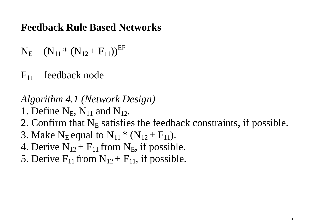$N_{E} = (N_{11} * (N_{12} + F_{11}))^{EF}$ 

 $F_{11}$  – feedback node

*Algorithm 4.1 (Network Design)* 

- 1. Define  $N_E$ ,  $N_{11}$  and  $N_{12}$ .
- 2. Confirm that  $N_E$  satisfies the feedback constraints, if possible.
- 3. Make  $\rm N_E$ equa  $E_{\rm E}$  equal to  $N_{11}$  \* ( $N_{12}$  +  $F_{11}$ ).
- 4. Derive  $N_{12} + F_{11}$  from  $N_E$ , if possible.
- 5. Derive  $F_{11}$  from  $N_{12} + F_{11}$ , if possible.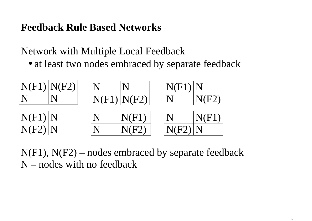## Network with Multiple Local Feedback

• at least two nodes embraced by separate feedback



 $N(F1)$ ,  $N(F2)$  – nodes embraced by separate feedback N – nodes with no feedback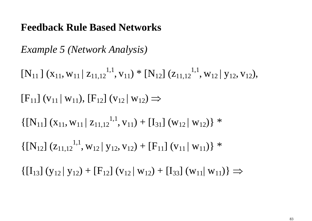*Example 5 (Network Analysis)* 

 $[N_{11}] (x_{11}, w_{11} | z_{11,12}^{1,1})$  $, v_{11}) * [N_{12}] (z_{11,12}^{1,1}, w_{12} | y_{12}, v_{12}),$  $[F_{11}]$  ( $v_{11}$  |  $w_{11}$ ),  $[F_{12}]$  ( $v_{12}$  |  $w_{12}$ )  $\Rightarrow$  $\left\{ \left[\mathbf{N}_{11}\right](\mathbf{x}_{11}, \mathbf{w}_{11} | \mathbf{z}_{11,12}^{1,1})\right\}$  $(v_{11}) + [I_{31}] (w_{12} | w_{12})$  \*  $\{[\mathbf{N}_{12}] (z_{11,12}^{1,1}, \mathbf{w}_{12} | \mathbf{y}_{12}, \mathbf{v}_{12}) + [\mathbf{F}_{11}] (\mathbf{v}_{11} | \mathbf{w}_{11}) \}$ \*  $\left\{ \left[ I_{13} \right] \left( y_{12} \right] y_{12} \right\} + \left[ F_{12} \right] \left( v_{12} \right] w_{12} \right\} + \left[ I_{33} \right] \left( w_{11} \right] w_{11} \right\} \Rightarrow$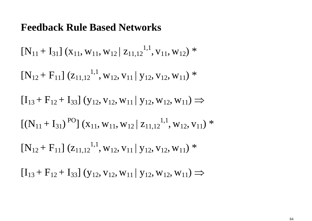$[N_{11} + I_{31}] (x_{11}, w_{11}, w_{12} | z_{11,12}^{1,1})$  $, {\rm V}_{11}, {\rm W}_{12})$  \*  $[N_{12} + F_{11}] (z_{11,12}^{1,1}, w_{12}, v_{11} | y_{12}, v_{12}, w_{11})$ \*  $[I_{13} + F_{12} + I_{33}]$  (y<sub>12</sub>, v<sub>12</sub>, w<sub>11</sub> | y<sub>12</sub>, w<sub>12</sub>, w<sub>11</sub>)  $\Rightarrow$  $[(N_{11} + I_{31})^{PO}](x_{11}, w_{11}, w_{12}| z_{11,12}^{1,1})$  $,$  W $_{12},$  V $_{11})$   $^*$  $[N_{12} + F_{11}] (z_{11,12}^{1,1}, w_{12}, v_{11} | y_{12}, v_{12}, w_{11})$ \*  $[I_{13} + F_{12} + I_{33}]$  (y<sub>12</sub>, v<sub>12</sub>, w<sub>11</sub> | y<sub>12</sub>, w<sub>12</sub>, w<sub>11</sub>)  $\Rightarrow$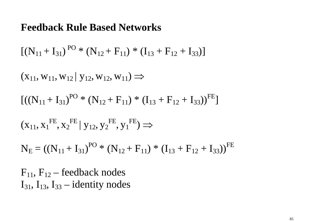$[(N_{11} + I_{31})^{PO} * (N_{12} + F_{11}) * (I_{13} + F_{12} + I_{33})]$ 

 $(X_{11}, W_{11}, W_{12} | y_{12}, W_{12}, W_{11}) \Rightarrow$ 

 $[(N_{11} + I_{31})^{PO} * (N_{12} + F_{11}) * (I_{13} + F_{12} + I_{33}))^{FE}]$ 

 $(\mathrm{x}_{11}, \mathrm{x}_{1}$ FE $,\mathbf{K}_2$ <sup>FE</sup> | **y**<sub>12</sub>, **y**<sub>2</sub> FE $\mathcal{F}, {\rm y_1}^{\rm FE}) \Rightarrow$ 

 $N_{E} = ((N_{11} + I_{31})^{PO} * (N_{12} + F_{11}) * (I_{13} + F_{12} + I_{33}))^{FE}$ 

 $F_{11}$ ,  $F_{12}$  – feedback nodes  $I_{31}$ ,  $I_{13}$ ,  $I_{33}$  – identity nodes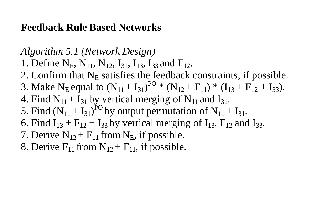*Algorithm 5.1 (Network Design)* 

- 1. Define  $N_E$ ,  $N_{11}$ ,  $N_{12}$ ,  $I_{31}$ ,  $I_{13}$ ,  $I_{33}$  and  $F_{12}$ .
- 2. Confirm that  $N_E$  satisfies the feedback constraints, if possible.
- 3. Make  $\rm N_E$ equa E equal to  $(N_{11} + I_{31})^{PO} * (N_{12} + F_{11}) * (I_{13} + F_{12} + I_{33}).$
- 4. Find  $N_{11} + I_{31}$  by vertical merging of  $N_{11}$  and  $I_{31}$ .
- 5. Find  $(N_{11} + I_{31})^{PO}$  by output permutation of  $N_{11} + I_{31}$ .
- 6. Find  $I_{13} + F_{12} + I_{33}$  by vertical merging of  $I_{13}$ ,  $F_{12}$  and  $I_{33}$ .
- 7. Derive  $N_{12} + F_{11}$  from  $N_E$ , if possible.
- 8. Derive  $F_{11}$  from  $N_{12} + F_{11}$ , if possible.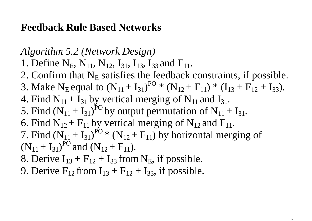*Algorithm 5.2 (Network Design)* 

- 1. Define  $N_E$ ,  $N_{11}$ ,  $N_{12}$ ,  $I_{31}$ ,  $I_{13}$ ,  $I_{33}$  and  $F_{11}$ .
- 2. Confirm that  $N_E$  satisfies the feedback constraints, if possible.
- 3. Make  $\rm N_E$ equa E equal to  $(N_{11} + I_{31})^{PO} * (N_{12} + F_{11}) * (I_{13} + F_{12} + I_{33}).$
- 4. Find  $N_{11} + I_{31}$  by vertical merging of  $N_{11}$  and  $I_{31}$ .
- 5. Find  $(N_{11} + I_{31})^{PO}$  by output permutation of  $N_{11} + I_{31}$ .
- 6. Find  $N_{12}$  +  $F_{11}$  by vertical merging of  $N_{12}$  and  $F_{11}$ .
- 7. Find  $(N_{11} + I_{31})^{PO*}$  (N<sub>12</sub> + F<sub>11</sub>) by horizontal merging of  $(N_{11} + I_{31})^{PO}$  and  $(N_{12} + F_{11})$ .
- 8. Derive  $I_{13} + F_{12} + I_{33}$  from  $N_E$ , if possible.
- 9. Derive  $F_{12}$  from  $I_{13} + F_{12} + I_{33}$ , if possible.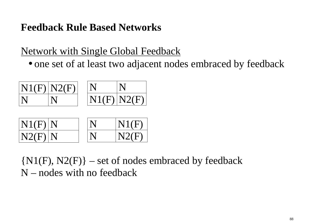## Network with Single Global Feedback

• one set of at least two adjacent nodes embraced by feedback



| N1(F) N | N1(F) |
|---------|-------|
| N2(F) N | N2(F) |

 ${N1(F), N2(F)}$  – set of nodes embraced by feedback N – nodes with no feedback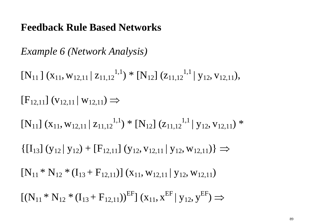*Example 6 (Network Analysis)* 

 $[N_{11}] (x_{11}, w_{12,11} | z_{11,12}^{1,1}) * [N_{12}] (z_{11,12}^{1,1} | y_{12}, v_{12,11}),$  $[F_{12,11}]$  ( $V_{12,11}$  |  $W_{12,11}$ )  $\Rightarrow$  $[N_{11}] (x_{11}, w_{12,11} | z_{11,12}^{1,1}) * [N_{12}] (z_{11,12}^{1,1} | y_{12}, v_{12,11}) *$  $\left\{ \left[ I_{13} \right] \left( y_{12} \right] y_{12} \right\} + \left[ F_{12,11} \right] \left( y_{12}, v_{12,11} \right] y_{12}, w_{12,11} \right) \right\} \Rightarrow$  $[N_{11} * N_{12} * (I_{13} + F_{12,11})] (x_{11}, w_{12,11} | y_{12}, w_{12,11})$  $[(N_{11} * N_{12} * (I_{13} + F_{12,11}))^{EF}](x_{11}, x^{EF} | y_{12}, y^{EF})$ ⇒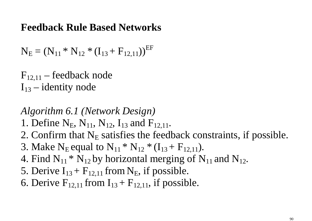$N_{E} = (N_{11} * N_{12} * (I_{13} + F_{12,11}))^{EF}$ 

 $F_{12,11}$  – feedback node  $I_{13}$  – identity node

*Algorithm 6.1 (Network Design)* 

- 1. Define  $N_E$ ,  $N_{11}$ ,  $N_{12}$ ,  $I_{13}$  and  $F_{12,11}$ .
- 2. Confirm that  $N_E$  satisfies the feedback constraints, if possible.
- 3. Make  $\rm N_E$ equa  $_{E}$  equal to  $N_{11} * N_{12} * (I_{13} + F_{12,11}).$
- 4. Find  $N_{11} * N_{12}$  by horizontal merging of  $N_{11}$  and  $N_{12}$ .
- 5. Derive  $I_{13}$  +  $F_{12,11}$  from  $N_E$ , if possible.
- 6. Derive  $F_{12,11}$  from  $I_{13} + F_{12,11}$ , if possible.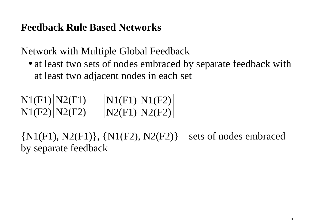Network with Multiple Global Feedback

 • at least two sets of nodes embraced by separate feedback with at least two adjacent nodes in each set





 $\{N1(F1), N2(F1)\}, \{N1(F2), N2(F2)\}$  – sets of nodes embraced by separate feedback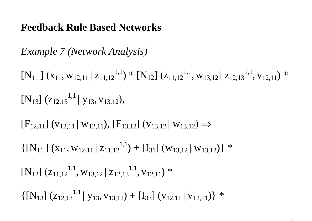*Example 7 (Network Analysis)* 

 $[N_{11}] (x_{11}, w_{12,11} | z_{11,12}^{1,1}) * [N_{12}] (z_{11,12}^{1,1})$  $, w_{13,12} | z_{12,13}^{1,1}$  $,$  V<sub>12,11</sub>) \*  $[N_{13}]$   $(Z_{12,13}^{1,1} | Y_{13}, V_{13,12}),$ 

 $[F_{12,11}]$  ( $V_{12,11}$  |  $W_{12,11}$ ),  $[F_{13,12}]$  ( $V_{13,12}$  |  $W_{13,12}$ )  $\Rightarrow$ 

 $\{[\mathbf{N}_{11}](\mathbf{x}_{11}, \mathbf{w}_{12,11} | \mathbf{z}_{11,12}^{1,1}) + [\mathbf{I}_{31}](\mathbf{w}_{13,12} | \mathbf{w}_{13,12})\}$ \*

 $[N_{12}] (z_{11,12}^{1,1}, w_{13,12} | z_{12,13}^{1,1})$  $,$  V<sub>12,11</sub>) \*

 $\{[\mathbf{N}_{13}]$   $(\mathbf{z}_{12,13}^{1,1} | \mathbf{y}_{13}, \mathbf{v}_{13,12}) + [\mathbf{I}_{33}] (\mathbf{v}_{12,11} | \mathbf{v}_{12,11})\}$ \*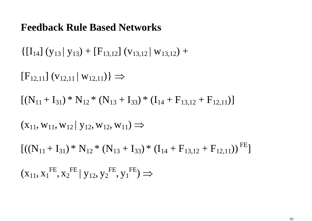$\left\{ \left[ I_{14} \right] \left( y_{13} \right] y_{13} \right\} + \left[ F_{13,12} \right] \left( v_{13,12} \right] w_{13,12} \right) +$ 

 $[F_{12,11}]$  ( $V_{12,11}$  |  $W_{12,11}$ ) }  $\Rightarrow$ 

 $[(N_{11} + I_{31}) * N_{12} * (N_{13} + I_{33}) * (I_{14} + F_{13,12} + F_{12,11})]$ 

 $(X_{11}, W_{11}, W_{12} | y_{12}, W_{12}, W_{11}) \Rightarrow$ 

 $[(N_{11} + I_{31}) * N_{12} * (N_{13} + I_{33}) * (I_{14} + F_{13,12} + F_{12,11}))^{FE}]$ 

 $(\mathrm{x}_{11}, \mathrm{x}_{1}$ FE $,\mathbf{K}_2$ <sup>FE</sup> | **y**<sub>12</sub>, **y**<sub>2</sub> FE $\mathcal{F}, {\rm y_1}^{\rm FE}) \Rightarrow$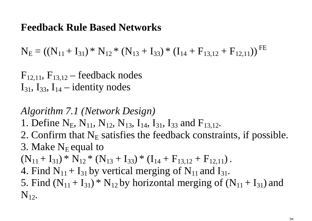$N_{E} = ((N_{11} + I_{31}) * N_{12} * (N_{13} + I_{33}) * (I_{14} + F_{13,12} + F_{12,11}))^{FE}$ 

 $F_{12,11}$ ,  $F_{13,12}$  – feedback nodes  $I_{31}$ ,  $I_{33}$ ,  $I_{14}$  – identity nodes

*Algorithm 7.1 (Network Design)* 

1. Define  $N_E$ ,  $N_{11}$ ,  $N_{12}$ ,  $N_{13}$ ,  $I_{14}$ ,  $I_{31}$ ,  $I_{33}$  and  $F_{13,12}$ .

2. Confirm that  $N_E$  satisfies the feedback constraints, if possible. 3. Make  $\rm N_E$ equa  $E$  equal to

 $(N_{11} + I_{31}) * N_{12} * (N_{13} + I_{33}) * (I_{14} + F_{13,12} + F_{12,11}).$ 

4. Find  $N_{11} + I_{31}$  by vertical merging of  $N_{11}$  and  $I_{31}$ .

5. Find  $(N_{11} + I_{31})$ <sup>\*</sup> N<sub>12</sub> by horizontal merging of  $(N_{11} + I_{31})$  and  $N_{12}$ .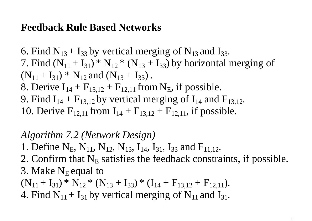6. Find  $N_{13}$  + I<sub>33</sub> by vertical merging of  $N_{13}$  and I<sub>33</sub>. 7. Find  $(N_{11} + I_{31}) * N_{12} * (N_{13} + I_{33})$  by horizontal merging of  $(N_{11} + I_{31}) * N_{12}$  and  $(N_{13} + I_{33})$ . 8. Derive  $I_{14} + F_{13,12} + F_{12,11}$  from  $N_E$ , if possible. 9. Find  $I_{14} + F_{13,12}$  by vertical merging of  $I_{14}$  and  $F_{13,12}$ . 10. Derive  $F_{12,11}$  from  $I_{14} + F_{13,12} + F_{12,11}$ , if possible.

### *Algorithm 7.2 (Network Design)*

- 1. Define  $N_E$ ,  $N_{11}$ ,  $N_{12}$ ,  $N_{13}$ ,  $I_{14}$ ,  $I_{31}$ ,  $I_{33}$  and  $F_{11,12}$ .
- 2. Confirm that  $N_E$  satisfies the feedback constraints, if possible. 3. Make  $\rm N_E$ equa  $E$  equal to
- $(N_{11} + I_{31}) * N_{12} * (N_{13} + I_{33}) * (I_{14} + F_{13,12} + F_{12,11}).$
- 4. Find  $N_{11} + I_{31}$  by vertical merging of  $N_{11}$  and  $I_{31}$ .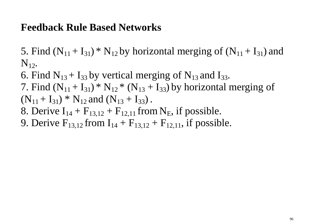5. Find  $(N_{11} + I_{31})$ <sup>\*</sup> N<sub>12</sub> by horizontal merging of  $(N_{11} + I_{31})$  and  $N_{12}$ .

6. Find  $N_{13}$  + I<sub>33</sub> by vertical merging of  $N_{13}$  and I<sub>33</sub>.

7. Find  $(N_{11} + I_{31}) * N_{12} * (N_{13} + I_{33})$  by horizontal merging of  $(N_{11} + I_{31}) * N_{12}$  and  $(N_{13} + I_{33})$ .

8. Derive  $I_{14} + F_{13,12} + F_{12,11}$  from  $N_E$ , if possible.

9. Derive  $F_{13,12}$  from  $I_{14} + F_{13,12} + F_{12,11}$ , if possible.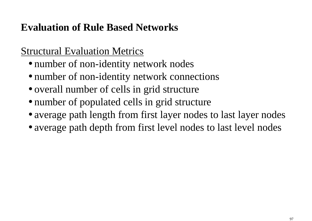## Structural Evaluation Metrics

- number of non-identity network nodes
- number of non-identity network connections
- overall number of cells in grid structure
- number of populated cells in grid structure
- average path length from first layer nodes to last layer nodes
- average path depth from first level nodes to last level nodes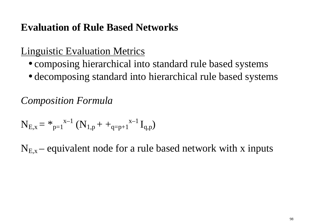## Linguistic Evaluation Metrics

- composing hierarchical into standard rule based systems
- decomposing standard into hierarchical rule based systems

*Composition Formula* 

$$
N_{E,x} = *_{p=1}^{x-1} (N_{1,p} + +_{q=p+1}^{x-1} I_{q,p})
$$

 $N_{E,x}$  – equivalent node for a rule based network with x inputs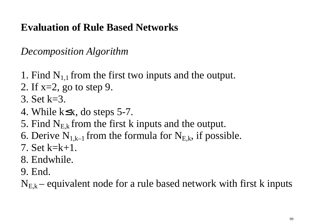*Decomposition Algorithm* 

- 1. Find  $N_{1,1}$  from the first two inputs and the output.
- 2. If  $x=2$ , go to step 9.
- 3. Set k=3.
- 4. While k≤x, do steps 5-7.
- 5. Find  $N_{E,k}$  from the first k inputs and the output.
- 6. Derive  $N_{1,k-1}$  from the formula for  $N_{E,k}$ , if possible.
- 7. Set k=k+1.
- 8. Endwhile.
- 9. End.

 $N_{E,k}$  – equivalent node for a rule based network with first k inputs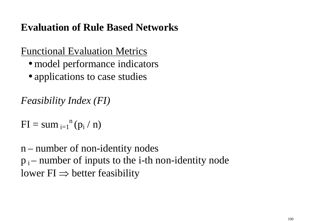## Functional Evaluation Metrics

- model performance indicators
- applications to case studies

*Feasibility Index (FI)* 

 $FI = sum_{i=1}^{n}(p_i / n)$ 

n – number of non-identity nodes  $p_i$  – number of inputs to the *i*-th non-identity node lower  $FI \Rightarrow$  better feasibility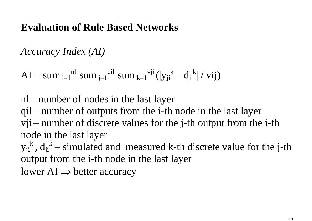*Accuracy Index (AI)* 

 $AI = sum_{i=1}^{nl} sum_{j=1}^{qil} sum_{k=1}^{vji} (|y_{ji}^k - d_{ji}^k| / vij)$ 

nl – number of nodes in the last layer qil – number of outputs from the i-th node in the last layer vji – number of discrete values for the j-th output from the i-th node in the last layer

 $y_{ji}^k$ ,  $d_{ji}^k$  – simulated and measured k-th discrete value for the j-th output from the i-th node in the last layer

lower AI  $\Rightarrow$  better accuracy  $\blacksquare$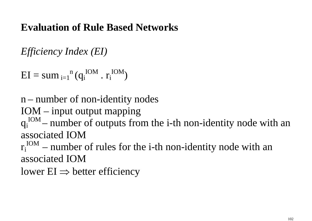*Efficiency Index (EI)* 

 $EI = sum_{i=1}^{n} (q_i^{IOM} \cdot r_i^{IOM})$ 

n – number of non-identity nodes

IOM – input output mapping

 $q_i^{\text{ION}}$  – number of outputs from the i-th non-identity node with an associated IOM

 $r_i^{\text{IOM}}$  – number of rules for the i-th non-identity node with an associated IOM

lower  $EI \Rightarrow$  better efficiency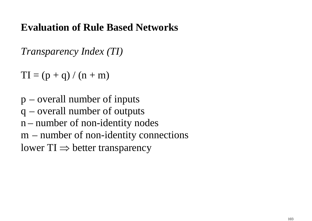*Transparency Index (TI)* 

 $TI = (p + q)/(n + m)$ 

p – overall number of inputs q – overall number of outputs n – number of non-identity nodes m – number of non-identity connections lower TI  $\Rightarrow$  better transparency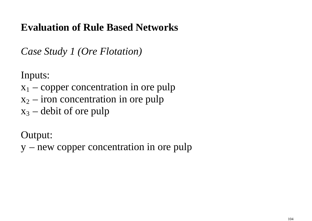*Case Study 1 (Ore Flotation)* 

Inputs:

- $x_1$  copper concentration in ore pulp
- $x_2$  iron concentration in ore pulp
- $x_3$  debit of ore pulp

Output:

y – new copper concentration in ore pulp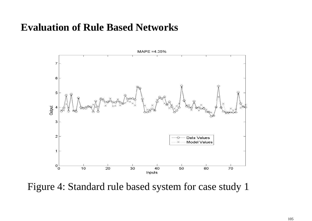

Figure 4: Standard rule based system for case study 1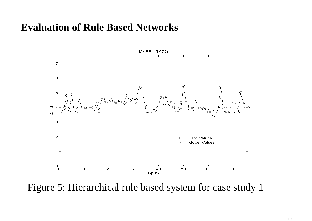

Figure 5: Hierarchical rule based system for case study 1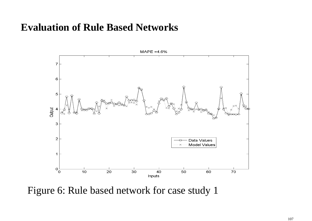

Figure 6: Rule based network for case study 1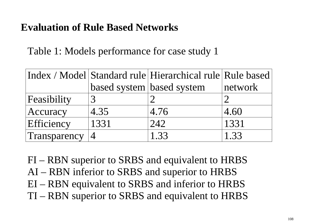Table 1: Models performance for case study 1

|              |                           | Index / Model Standard rule Hierarchical rule Rule based |         |
|--------------|---------------------------|----------------------------------------------------------|---------|
|              | based system based system |                                                          | network |
| Feasibility  |                           |                                                          |         |
| Accuracy     | 4.35                      | 4.76                                                     | 4.60    |
| Efficiency   | 1331                      | 242                                                      | 1331    |
| Transparency | $\overline{4}$            | 1.33                                                     | 1.33    |

FI – RBN superior to SRBS and equivalent to HRBS AI – RBN inferior to SRBS and superior to HRBS EI – RBN equivalent to SRBS and inferior to HRBS TI – RBN superior to SRBS and equivalent to HRBS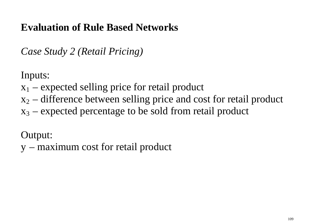*Case Study 2 (Retail Pricing)* 

Inputs:

- $x_1$  expected selling price for retail product
- $x_2$  difference between selling price and cost for retail product
- $x_3$  expected percentage to be sold from retail product

Output:

y – maximum cost for retail product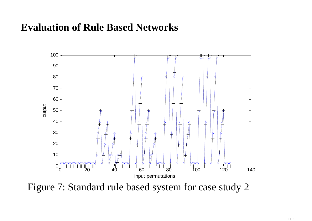

Figure 7: Standard rule based system for case study 2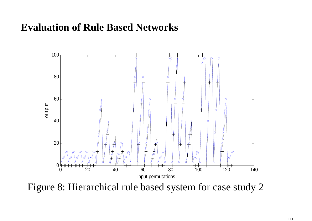

Figure 8: Hierarchical rule based system for case study 2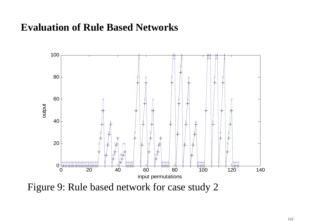

Figure 9: Rule based network for case study 2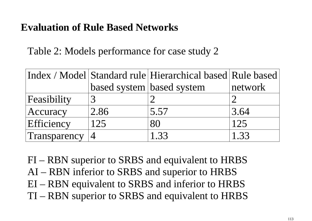Table 2: Models performance for case study 2

|              |                           | Index / Model Standard rule Hierarchical based Rule based |         |
|--------------|---------------------------|-----------------------------------------------------------|---------|
|              | based system based system |                                                           | network |
| Feasibility  |                           |                                                           |         |
| Accuracy     | 2.86                      | 5.57                                                      | 3.64    |
| Efficiency   | 125                       | 80                                                        | 125     |
| Transparency |                           | 1.33                                                      | 1.33    |

FI – RBN superior to SRBS and equivalent to HRBS AI – RBN inferior to SRBS and superior to HRBS EI – RBN equivalent to SRBS and inferior to HRBS TI – RBN superior to SRBS and equivalent to HRBS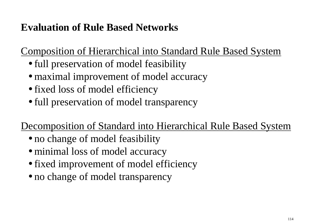Composition of Hierarchical into Standard Rule Based System

- full preservation of model feasibility
- maximal improvement of model accuracy
- fixed loss of model efficiency
- full preservation of model transparency

Decomposition of Standard into Hierarchical Rule Based System

- no change of model feasibility
- minimal loss of model accuracy
- fixed improvement of model efficiency
- no change of model transparency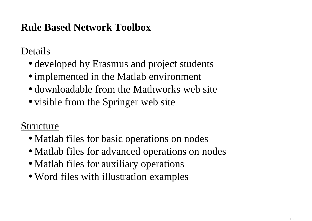# **Rule Based Network Toolbox**

#### Details

- developed by Erasmus and project students
- implemented in the Matlab environment
- downloadable from the Mathworks web site
- visible from the Springer web site

# Structure

- Matlab files for basic operations on nodes
- Matlab files for advanced operations on nodes
- Matlab files for auxiliary operations
- Word files with illustration examples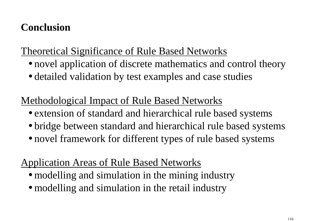# **Conclusion**

### Theoretical Significance of Rule Based Networks

- novel application of discrete mathematics and control theory
- detailed validation by test examples and case studies

# Methodological Impact of Rule Based Networks

- extension of standard and hierarchical rule based systems
- bridge between standard and hierarchical rule based systems
- novel framework for different types of rule based systems

#### Application Areas of Rule Based Networks

- modelling and simulation in the mining industry
- modelling and simulation in the retail industry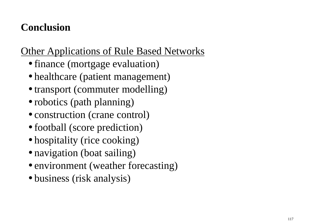# **Conclusion**

### Other Applications of Rule Based Networks

- finance (mortgage evaluation)
- healthcare (patient management)
- transport (commuter modelling)
- robotics (path planning)
- construction (crane control)
- football (score prediction)
- hospitality (rice cooking)
- navigation (boat sailing)
- environment (weather forecasting)
- business (risk analysis)